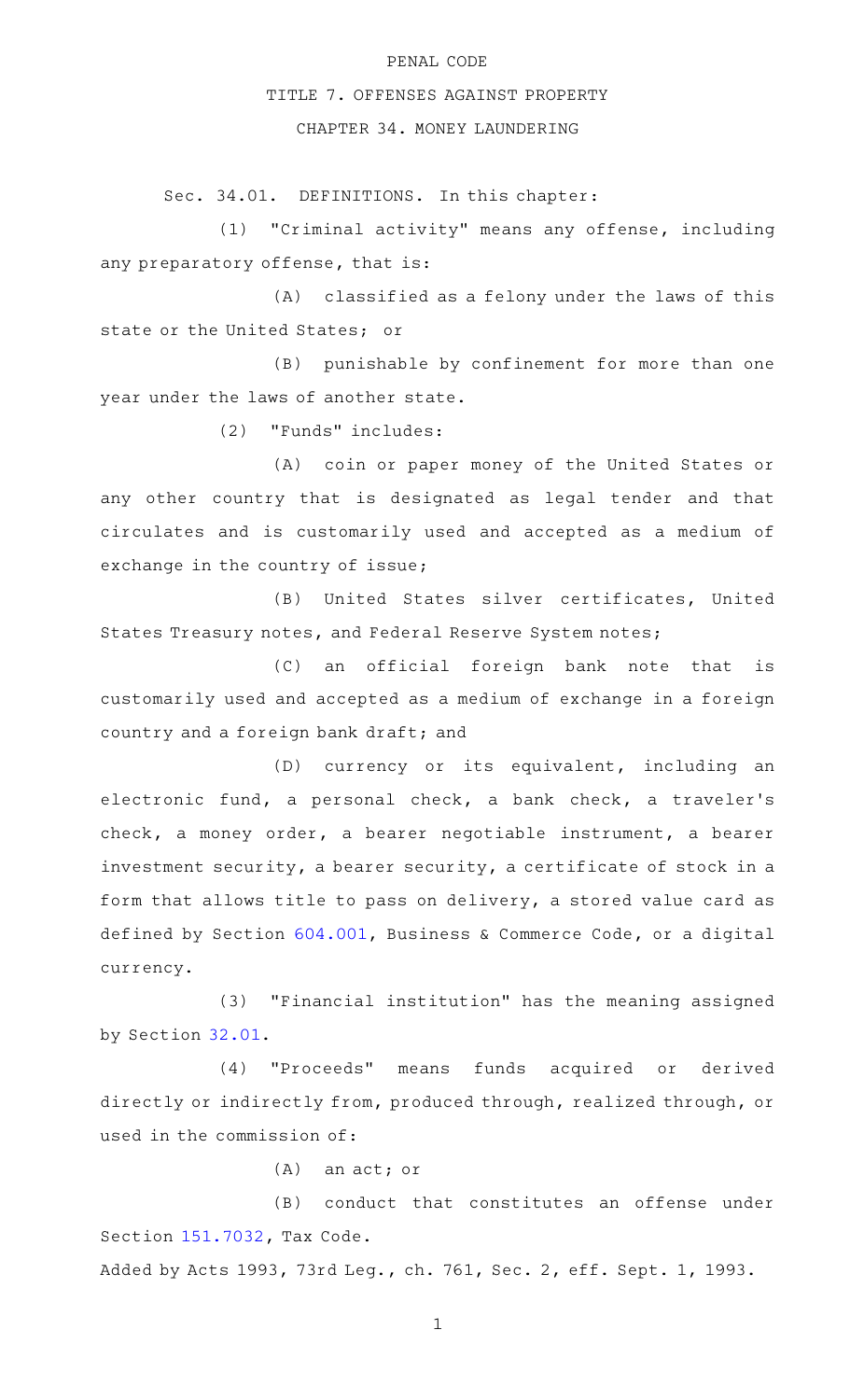## PENAL CODE

## TITLE 7. OFFENSES AGAINST PROPERTY

## CHAPTER 34. MONEY LAUNDERING

Sec. 34.01. DEFINITIONS. In this chapter:

(1) "Criminal activity" means any offense, including any preparatory offense, that is:

(A) classified as a felony under the laws of this state or the United States; or

 $(B)$  punishable by confinement for more than one year under the laws of another state.

(2) "Funds" includes:

(A) coin or paper money of the United States or any other country that is designated as legal tender and that circulates and is customarily used and accepted as a medium of exchange in the country of issue;

(B) United States silver certificates, United States Treasury notes, and Federal Reserve System notes;

(C) an official foreign bank note that is customarily used and accepted as a medium of exchange in a foreign country and a foreign bank draft; and

(D) currency or its equivalent, including an electronic fund, a personal check, a bank check, a traveler 's check, a money order, a bearer negotiable instrument, a bearer investment security, a bearer security, a certificate of stock in a form that allows title to pass on delivery, a stored value card as defined by Section [604.001,](http://www.statutes.legis.state.tx.us/GetStatute.aspx?Code=BC&Value=604.001) Business & Commerce Code, or a digital currency.

(3) "Financial institution" has the meaning assigned by Section [32.01.](http://www.statutes.legis.state.tx.us/GetStatute.aspx?Code=PE&Value=32.01)

(4) "Proceeds" means funds acquired or derived directly or indirectly from, produced through, realized through, or used in the commission of:

 $(A)$  an act; or

(B) conduct that constitutes an offense under Section [151.7032](http://www.statutes.legis.state.tx.us/GetStatute.aspx?Code=TX&Value=151.7032), Tax Code.

Added by Acts 1993, 73rd Leg., ch. 761, Sec. 2, eff. Sept. 1, 1993.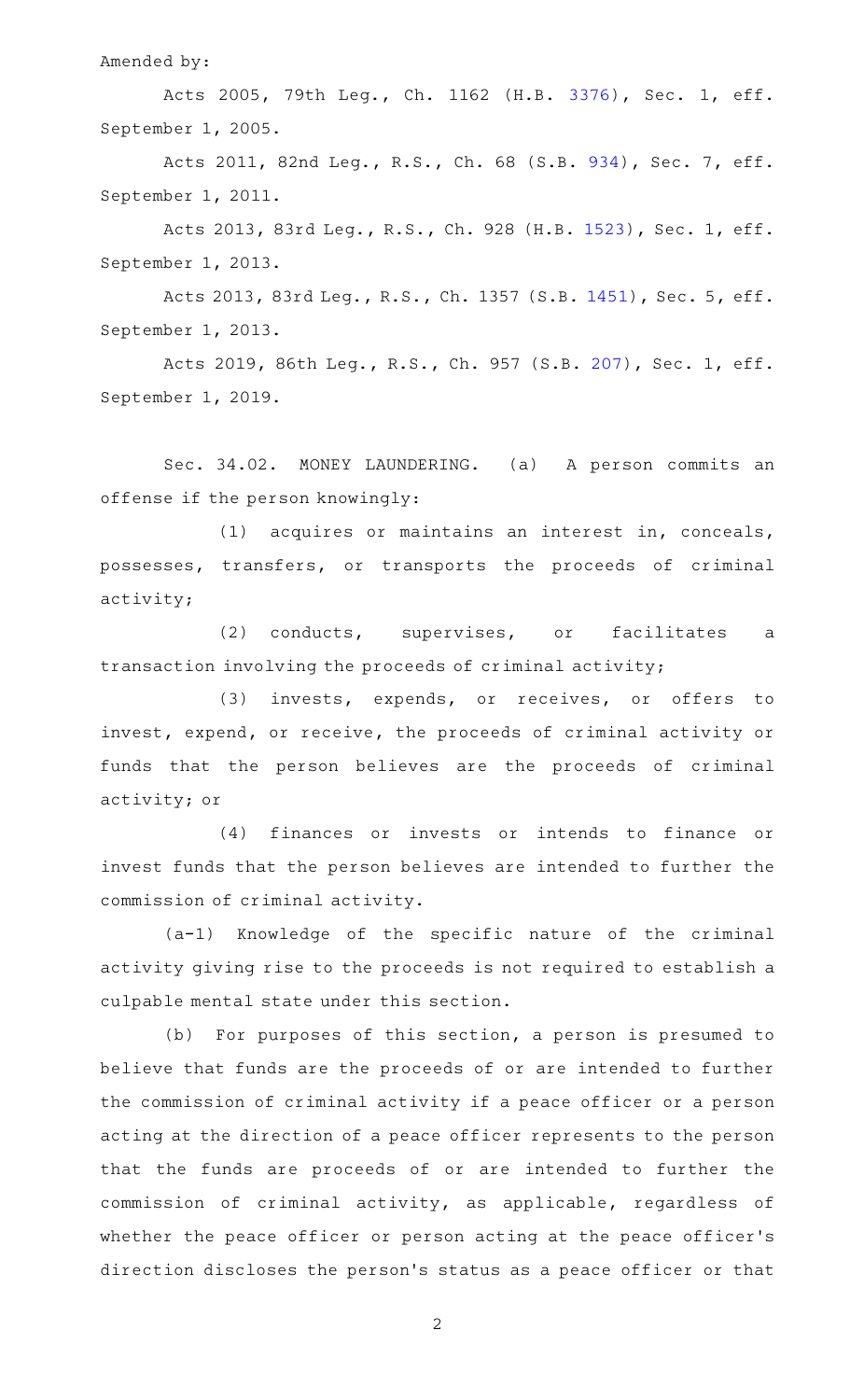Amended by:

Acts 2005, 79th Leg., Ch. 1162 (H.B. [3376](http://www.legis.state.tx.us/tlodocs/79R/billtext/html/HB03376F.HTM)), Sec. 1, eff. September 1, 2005.

Acts 2011, 82nd Leg., R.S., Ch. 68 (S.B. [934](http://www.legis.state.tx.us/tlodocs/82R/billtext/html/SB00934F.HTM)), Sec. 7, eff. September 1, 2011.

Acts 2013, 83rd Leg., R.S., Ch. 928 (H.B. [1523](http://www.legis.state.tx.us/tlodocs/83R/billtext/html/HB01523F.HTM)), Sec. 1, eff. September 1, 2013.

Acts 2013, 83rd Leg., R.S., Ch. 1357 (S.B. [1451](http://www.legis.state.tx.us/tlodocs/83R/billtext/html/SB01451F.HTM)), Sec. 5, eff. September 1, 2013.

Acts 2019, 86th Leg., R.S., Ch. 957 (S.B. [207](http://www.legis.state.tx.us/tlodocs/86R/billtext/html/SB00207F.HTM)), Sec. 1, eff. September 1, 2019.

Sec. 34.02. MONEY LAUNDERING. (a) A person commits an offense if the person knowingly:

(1) acquires or maintains an interest in, conceals, possesses, transfers, or transports the proceeds of criminal activity;

(2) conducts, supervises, or facilitates a transaction involving the proceeds of criminal activity;

(3) invests, expends, or receives, or offers to invest, expend, or receive, the proceeds of criminal activity or funds that the person believes are the proceeds of criminal activity; or

(4) finances or invests or intends to finance or invest funds that the person believes are intended to further the commission of criminal activity.

(a-1) Knowledge of the specific nature of the criminal activity giving rise to the proceeds is not required to establish a culpable mental state under this section.

(b) For purposes of this section, a person is presumed to believe that funds are the proceeds of or are intended to further the commission of criminal activity if a peace officer or a person acting at the direction of a peace officer represents to the person that the funds are proceeds of or are intended to further the commission of criminal activity, as applicable, regardless of whether the peace officer or person acting at the peace officer 's direction discloses the person 's status as a peace officer or that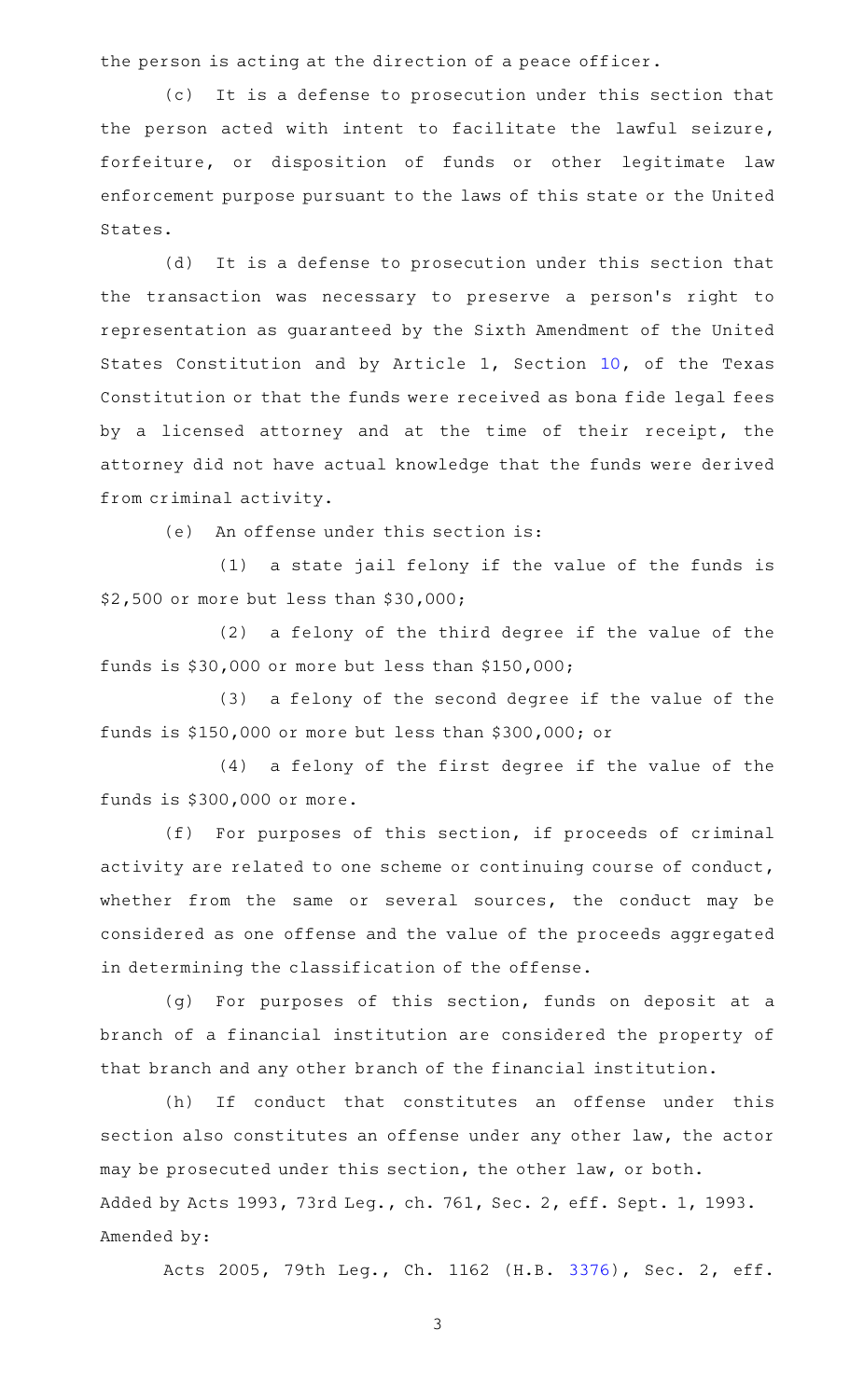the person is acting at the direction of a peace officer.

(c) It is a defense to prosecution under this section that the person acted with intent to facilitate the lawful seizure, forfeiture, or disposition of funds or other legitimate law enforcement purpose pursuant to the laws of this state or the United States.

(d) It is a defense to prosecution under this section that the transaction was necessary to preserve a person's right to representation as guaranteed by the Sixth Amendment of the United States Constitution and by Article 1, Section [10,](http://www.statutes.legis.state.tx.us/GetStatute.aspx?Code=CN&Value=1.10) of the Texas Constitution or that the funds were received as bona fide legal fees by a licensed attorney and at the time of their receipt, the attorney did not have actual knowledge that the funds were derived from criminal activity.

 $(e)$  An offense under this section is:

 $(1)$  a state jail felony if the value of the funds is \$2,500 or more but less than \$30,000;

 $(2)$  a felony of the third degree if the value of the funds is \$30,000 or more but less than \$150,000;

(3) a felony of the second degree if the value of the funds is \$150,000 or more but less than \$300,000; or

(4) a felony of the first degree if the value of the funds is \$300,000 or more.

 $(f)$  For purposes of this section, if proceeds of criminal activity are related to one scheme or continuing course of conduct, whether from the same or several sources, the conduct may be considered as one offense and the value of the proceeds aggregated in determining the classification of the offense.

(g) For purposes of this section, funds on deposit at a branch of a financial institution are considered the property of that branch and any other branch of the financial institution.

(h) If conduct that constitutes an offense under this section also constitutes an offense under any other law, the actor may be prosecuted under this section, the other law, or both. Added by Acts 1993, 73rd Leg., ch. 761, Sec. 2, eff. Sept. 1, 1993. Amended by:

Acts 2005, 79th Leg., Ch. 1162 (H.B. [3376](http://www.legis.state.tx.us/tlodocs/79R/billtext/html/HB03376F.HTM)), Sec. 2, eff.